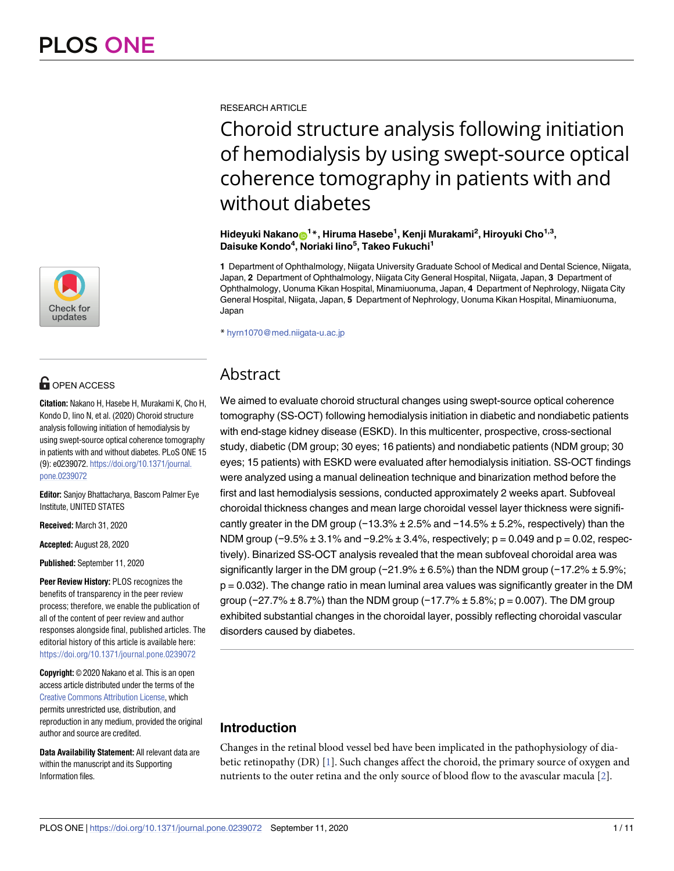

# **OPEN ACCESS**

**Citation:** Nakano H, Hasebe H, Murakami K, Cho H, Kondo D, Iino N, et al. (2020) Choroid structure analysis following initiation of hemodialysis by using swept-source optical coherence tomography in patients with and without diabetes. PLoS ONE 15 (9): e0239072. [https://doi.org/10.1371/journal.](https://doi.org/10.1371/journal.pone.0239072) [pone.0239072](https://doi.org/10.1371/journal.pone.0239072)

**Editor:** Sanjoy Bhattacharya, Bascom Palmer Eye Institute, UNITED STATES

**Received:** March 31, 2020

**Accepted:** August 28, 2020

**Published:** September 11, 2020

**Peer Review History:** PLOS recognizes the benefits of transparency in the peer review process; therefore, we enable the publication of all of the content of peer review and author responses alongside final, published articles. The editorial history of this article is available here: <https://doi.org/10.1371/journal.pone.0239072>

**Copyright:** © 2020 Nakano et al. This is an open access article distributed under the terms of the Creative Commons [Attribution](http://creativecommons.org/licenses/by/4.0/) License, which permits unrestricted use, distribution, and reproduction in any medium, provided the original author and source are credited.

**Data Availability Statement:** All relevant data are within the manuscript and its Supporting Information files.

<span id="page-0-0"></span>RESEARCH ARTICLE

# Choroid structure analysis following initiation of hemodialysis by using swept-source optical coherence tomography in patients with and without diabetes

 ${\mathbf H}$ ideyuki Nakano ${\mathbf \Theta}^{1\,*}$ , Hiruma Hasebe<sup>1</sup>, Kenji Murakami<sup>2</sup>, Hiroyuki Cho $^{1,3},$ **Daisuke Kondo4 , Noriaki Iino5 , Takeo Fukuchi1**

**1** Department of Ophthalmology, Niigata University Graduate School of Medical and Dental Science, Niigata, Japan, **2** Department of Ophthalmology, Niigata City General Hospital, Niigata, Japan, **3** Department of Ophthalmology, Uonuma Kikan Hospital, Minamiuonuma, Japan, **4** Department of Nephrology, Niigata City General Hospital, Niigata, Japan, **5** Department of Nephrology, Uonuma Kikan Hospital, Minamiuonuma, Japan

\* hyrn1070@med.niigata-u.ac.jp

# Abstract

We aimed to evaluate choroid structural changes using swept-source optical coherence tomography (SS-OCT) following hemodialysis initiation in diabetic and nondiabetic patients with end-stage kidney disease (ESKD). In this multicenter, prospective, cross-sectional study, diabetic (DM group; 30 eyes; 16 patients) and nondiabetic patients (NDM group; 30 eyes; 15 patients) with ESKD were evaluated after hemodialysis initiation. SS-OCT findings were analyzed using a manual delineation technique and binarization method before the first and last hemodialysis sessions, conducted approximately 2 weeks apart. Subfoveal choroidal thickness changes and mean large choroidal vessel layer thickness were significantly greater in the DM group (−13.3% ± 2.5% and −14.5% ± 5.2%, respectively) than the NDM group (−9.5% ± 3.1% and −9.2% ± 3.4%, respectively; p = 0.049 and p = 0.02, respectively). Binarized SS-OCT analysis revealed that the mean subfoveal choroidal area was significantly larger in the DM group (−21.9% ± 6.5%) than the NDM group (−17.2% ± 5.9%; p = 0.032). The change ratio in mean luminal area values was significantly greater in the DM group (−27.7% ± 8.7%) than the NDM group (−17.7% ± 5.8%; p = 0.007). The DM group exhibited substantial changes in the choroidal layer, possibly reflecting choroidal vascular disorders caused by diabetes.

# **Introduction**

Changes in the retinal blood vessel bed have been implicated in the pathophysiology of diabetic retinopathy (DR) [\[1\]](#page-9-0). Such changes affect the choroid, the primary source of oxygen and nutrients to the outer retina and the only source of blood flow to the avascular macula [\[2\]](#page-9-0).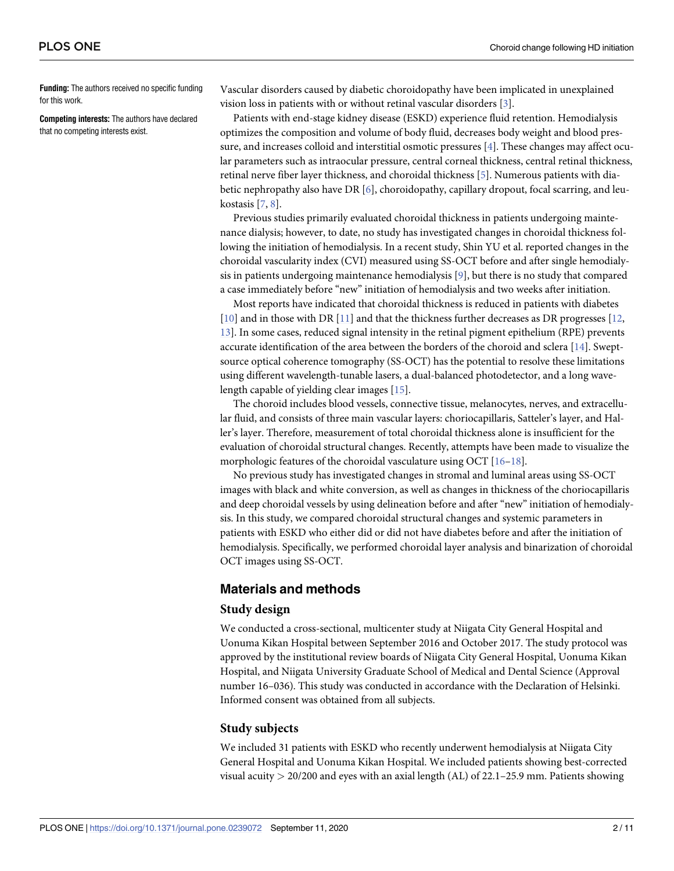<span id="page-1-0"></span>**Funding:** The authors received no specific funding for this work.

**Competing interests:** The authors have declared that no competing interests exist.

Vascular disorders caused by diabetic choroidopathy have been implicated in unexplained vision loss in patients with or without retinal vascular disorders [\[3\]](#page-9-0).

Patients with end-stage kidney disease (ESKD) experience fluid retention. Hemodialysis optimizes the composition and volume of body fluid, decreases body weight and blood pressure, and increases colloid and interstitial osmotic pressures [[4\]](#page-9-0). These changes may affect ocular parameters such as intraocular pressure, central corneal thickness, central retinal thickness, retinal nerve fiber layer thickness, and choroidal thickness [[5](#page-9-0)]. Numerous patients with diabetic nephropathy also have DR [\[6](#page-9-0)], choroidopathy, capillary dropout, focal scarring, and leukostasis [\[7](#page-9-0), [8](#page-10-0)].

Previous studies primarily evaluated choroidal thickness in patients undergoing maintenance dialysis; however, to date, no study has investigated changes in choroidal thickness following the initiation of hemodialysis. In a recent study, Shin YU et al. reported changes in the choroidal vascularity index (CVI) measured using SS-OCT before and after single hemodialysis in patients undergoing maintenance hemodialysis [\[9](#page-10-0)], but there is no study that compared a case immediately before "new" initiation of hemodialysis and two weeks after initiation.

Most reports have indicated that choroidal thickness is reduced in patients with diabetes [\[10\]](#page-10-0) and in those with DR [[11](#page-10-0)] and that the thickness further decreases as DR progresses [\[12,](#page-10-0) [13\]](#page-10-0). In some cases, reduced signal intensity in the retinal pigment epithelium (RPE) prevents accurate identification of the area between the borders of the choroid and sclera [[14](#page-10-0)]. Sweptsource optical coherence tomography (SS-OCT) has the potential to resolve these limitations using different wavelength-tunable lasers, a dual-balanced photodetector, and a long wavelength capable of yielding clear images [\[15\]](#page-10-0).

The choroid includes blood vessels, connective tissue, melanocytes, nerves, and extracellular fluid, and consists of three main vascular layers: choriocapillaris, Satteler's layer, and Haller's layer. Therefore, measurement of total choroidal thickness alone is insufficient for the evaluation of choroidal structural changes. Recently, attempts have been made to visualize the morphologic features of the choroidal vasculature using OCT [\[16–18\]](#page-10-0).

No previous study has investigated changes in stromal and luminal areas using SS-OCT images with black and white conversion, as well as changes in thickness of the choriocapillaris and deep choroidal vessels by using delineation before and after "new" initiation of hemodialysis. In this study, we compared choroidal structural changes and systemic parameters in patients with ESKD who either did or did not have diabetes before and after the initiation of hemodialysis. Specifically, we performed choroidal layer analysis and binarization of choroidal OCT images using SS-OCT.

## **Materials and methods**

#### **Study design**

We conducted a cross-sectional, multicenter study at Niigata City General Hospital and Uonuma Kikan Hospital between September 2016 and October 2017. The study protocol was approved by the institutional review boards of Niigata City General Hospital, Uonuma Kikan Hospital, and Niigata University Graduate School of Medical and Dental Science (Approval number 16–036). This study was conducted in accordance with the Declaration of Helsinki. Informed consent was obtained from all subjects.

#### **Study subjects**

We included 31 patients with ESKD who recently underwent hemodialysis at Niigata City General Hospital and Uonuma Kikan Hospital. We included patients showing best-corrected visual acuity *>* 20/200 and eyes with an axial length (AL) of 22.1–25.9 mm. Patients showing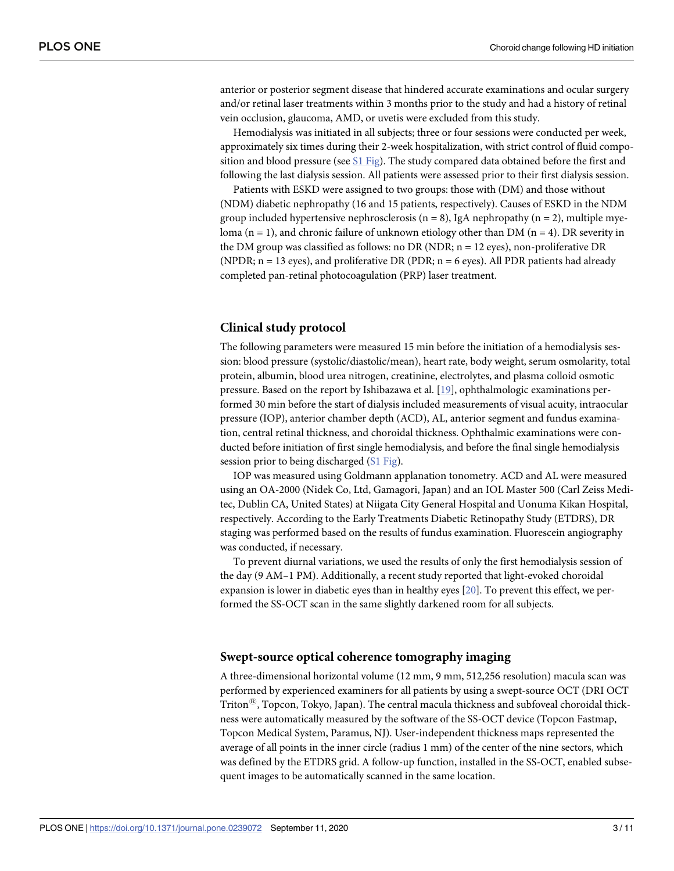<span id="page-2-0"></span>anterior or posterior segment disease that hindered accurate examinations and ocular surgery and/or retinal laser treatments within 3 months prior to the study and had a history of retinal vein occlusion, glaucoma, AMD, or uvetis were excluded from this study.

Hemodialysis was initiated in all subjects; three or four sessions were conducted per week, approximately six times during their 2-week hospitalization, with strict control of fluid composition and blood pressure (see  $S1$  [Fig\)](#page-9-0). The study compared data obtained before the first and following the last dialysis session. All patients were assessed prior to their first dialysis session.

Patients with ESKD were assigned to two groups: those with (DM) and those without (NDM) diabetic nephropathy (16 and 15 patients, respectively). Causes of ESKD in the NDM group included hypertensive nephrosclerosis ( $n = 8$ ), IgA nephropathy ( $n = 2$ ), multiple myeloma (n = 1), and chronic failure of unknown etiology other than DM (n = 4). DR severity in the DM group was classified as follows: no DR (NDR;  $n = 12$  eyes), non-proliferative DR (NPDR;  $n = 13$  eyes), and proliferative DR (PDR;  $n = 6$  eyes). All PDR patients had already completed pan-retinal photocoagulation (PRP) laser treatment.

#### **Clinical study protocol**

The following parameters were measured 15 min before the initiation of a hemodialysis session: blood pressure (systolic/diastolic/mean), heart rate, body weight, serum osmolarity, total protein, albumin, blood urea nitrogen, creatinine, electrolytes, and plasma colloid osmotic pressure. Based on the report by Ishibazawa et al. [\[19\]](#page-10-0), ophthalmologic examinations performed 30 min before the start of dialysis included measurements of visual acuity, intraocular pressure (IOP), anterior chamber depth (ACD), AL, anterior segment and fundus examination, central retinal thickness, and choroidal thickness. Ophthalmic examinations were conducted before initiation of first single hemodialysis, and before the final single hemodialysis session prior to being discharged (S1 [Fig\)](#page-9-0).

IOP was measured using Goldmann applanation tonometry. ACD and AL were measured using an OA-2000 (Nidek Co, Ltd, Gamagori, Japan) and an IOL Master 500 (Carl Zeiss Meditec, Dublin CA, United States) at Niigata City General Hospital and Uonuma Kikan Hospital, respectively. According to the Early Treatments Diabetic Retinopathy Study (ETDRS), DR staging was performed based on the results of fundus examination. Fluorescein angiography was conducted, if necessary.

To prevent diurnal variations, we used the results of only the first hemodialysis session of the day (9 AM–1 PM). Additionally, a recent study reported that light-evoked choroidal expansion is lower in diabetic eyes than in healthy eyes [\[20\]](#page-10-0). To prevent this effect, we performed the SS-OCT scan in the same slightly darkened room for all subjects.

#### **Swept-source optical coherence tomography imaging**

A three-dimensional horizontal volume (12 mm, 9 mm, 512,256 resolution) macula scan was performed by experienced examiners for all patients by using a swept-source OCT (DRI OCT Triton<sup> $\mathfrak{B}$ </sup>, Topcon, Tokyo, Japan). The central macula thickness and subfoveal choroidal thickness were automatically measured by the software of the SS-OCT device (Topcon Fastmap, Topcon Medical System, Paramus, NJ). User-independent thickness maps represented the average of all points in the inner circle (radius 1 mm) of the center of the nine sectors, which was defined by the ETDRS grid. A follow-up function, installed in the SS-OCT, enabled subsequent images to be automatically scanned in the same location.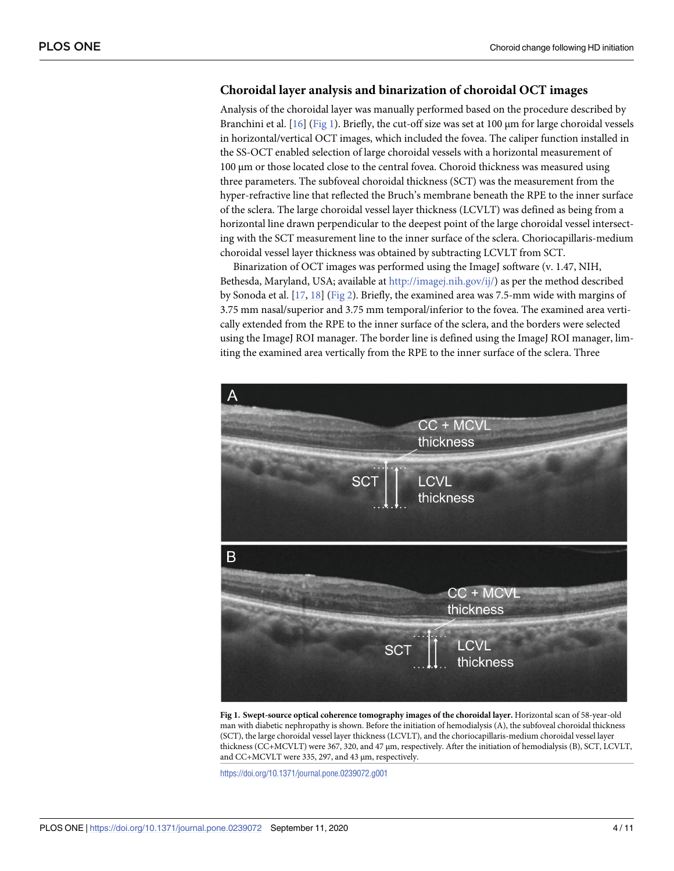## <span id="page-3-0"></span>**Choroidal layer analysis and binarization of choroidal OCT images**

Analysis of the choroidal layer was manually performed based on the procedure described by Branchini et al. [[16](#page-10-0)] (Fig 1). Briefly, the cut-off size was set at 100 μm for large choroidal vessels in horizontal/vertical OCT images, which included the fovea. The caliper function installed in the SS-OCT enabled selection of large choroidal vessels with a horizontal measurement of 100 μm or those located close to the central fovea. Choroid thickness was measured using three parameters. The subfoveal choroidal thickness (SCT) was the measurement from the hyper-refractive line that reflected the Bruch's membrane beneath the RPE to the inner surface of the sclera. The large choroidal vessel layer thickness (LCVLT) was defined as being from a horizontal line drawn perpendicular to the deepest point of the large choroidal vessel intersecting with the SCT measurement line to the inner surface of the sclera. Choriocapillaris-medium choroidal vessel layer thickness was obtained by subtracting LCVLT from SCT.

Binarization of OCT images was performed using the ImageJ software (v. 1.47, NIH, Bethesda, Maryland, USA; available at <http://imagej.nih.gov/ij/>) as per the method described by Sonoda et al. [\[17,](#page-10-0) [18\]](#page-10-0) ([Fig](#page-4-0) 2). Briefly, the examined area was 7.5-mm wide with margins of 3.75 mm nasal/superior and 3.75 mm temporal/inferior to the fovea. The examined area vertically extended from the RPE to the inner surface of the sclera, and the borders were selected using the ImageJ ROI manager. The border line is defined using the ImageJ ROI manager, limiting the examined area vertically from the RPE to the inner surface of the sclera. Three



**Fig 1. Swept-source optical coherence tomography images of the choroidal layer.** Horizontal scan of 58-year-old man with diabetic nephropathy is shown. Before the initiation of hemodialysis (A), the subfoveal choroidal thickness (SCT), the large choroidal vessel layer thickness (LCVLT), and the choriocapillaris-medium choroidal vessel layer thickness (CC+MCVLT) were 367, 320, and 47 μm, respectively. After the initiation of hemodialysis (B), SCT, LCVLT, and CC+MCVLT were 335, 297, and 43 μm, respectively.

<https://doi.org/10.1371/journal.pone.0239072.g001>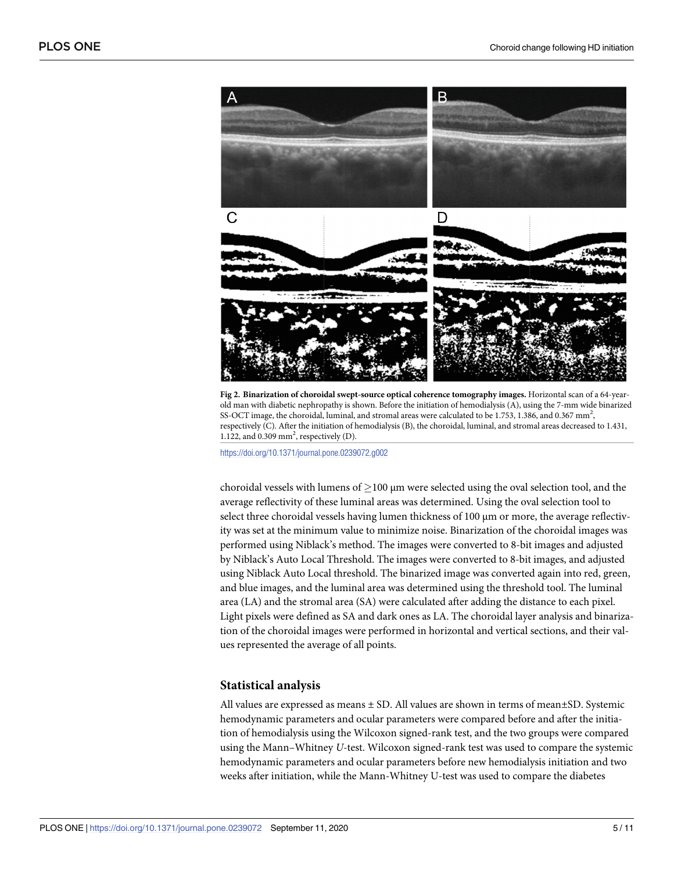<span id="page-4-0"></span>

**[Fig](#page-3-0) 2. Binarization of choroidal swept-source optical coherence tomography images.** Horizontal scan of a 64-yearold man with diabetic nephropathy is shown. Before the initiation of hemodialysis (A), using the 7-mm wide binarized SS-OCT image, the choroidal, luminal, and stromal areas were calculated to be 1.753, 1.386, and 0.367 mm<sup>2</sup>, respectively (C). After the initiation of hemodialysis (B), the choroidal, luminal, and stromal areas decreased to 1.431, 1.122, and  $0.309$  mm<sup>2</sup>, respectively (D).

<https://doi.org/10.1371/journal.pone.0239072.g002>

choroidal vessels with lumens of  $\geq$ 100 µm were selected using the oval selection tool, and the average reflectivity of these luminal areas was determined. Using the oval selection tool to select three choroidal vessels having lumen thickness of 100 μm or more, the average reflectivity was set at the minimum value to minimize noise. Binarization of the choroidal images was performed using Niblack's method. The images were converted to 8-bit images and adjusted by Niblack's Auto Local Threshold. The images were converted to 8-bit images, and adjusted using Niblack Auto Local threshold. The binarized image was converted again into red, green, and blue images, and the luminal area was determined using the threshold tool. The luminal area (LA) and the stromal area (SA) were calculated after adding the distance to each pixel. Light pixels were defined as SA and dark ones as LA. The choroidal layer analysis and binarization of the choroidal images were performed in horizontal and vertical sections, and their values represented the average of all points.

#### **Statistical analysis**

All values are expressed as means  $\pm$  SD. All values are shown in terms of mean $\pm$ SD. Systemic hemodynamic parameters and ocular parameters were compared before and after the initiation of hemodialysis using the Wilcoxon signed-rank test, and the two groups were compared using the Mann–Whitney *U*-test. Wilcoxon signed-rank test was used to compare the systemic hemodynamic parameters and ocular parameters before new hemodialysis initiation and two weeks after initiation, while the Mann-Whitney U-test was used to compare the diabetes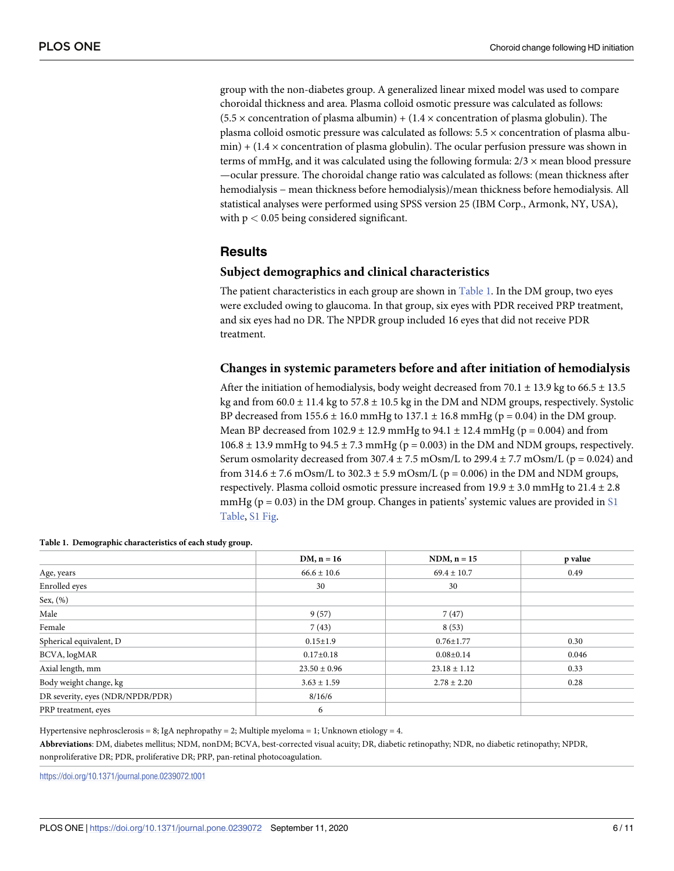group with the non-diabetes group. A generalized linear mixed model was used to compare choroidal thickness and area. Plasma colloid osmotic pressure was calculated as follows:  $(5.5 \times$  concentration of plasma albumin) +  $(1.4 \times$  concentration of plasma globulin). The plasma colloid osmotic pressure was calculated as follows: 5.5 × concentration of plasma albu $min$ ) + (1.4  $\times$  concentration of plasma globulin). The ocular perfusion pressure was shown in terms of mmHg, and it was calculated using the following formula:  $2/3 \times$  mean blood pressure —ocular pressure. The choroidal change ratio was calculated as follows: (mean thickness after hemodialysis − mean thickness before hemodialysis)/mean thickness before hemodialysis. All statistical analyses were performed using SPSS version 25 (IBM Corp., Armonk, NY, USA), with p *<* 0.05 being considered significant.

## **Results**

#### **Subject demographics and clinical characteristics**

The patient characteristics in each group are shown in  $Table 1$ . In the DM group, two eyes were excluded owing to glaucoma. In that group, six eyes with PDR received PRP treatment, and six eyes had no DR. The NPDR group included 16 eyes that did not receive PDR treatment.

#### **Changes in systemic parameters before and after initiation of hemodialysis**

After the initiation of hemodialysis, body weight decreased from 70.1  $\pm$  13.9 kg to 66.5  $\pm$  13.5 kg and from  $60.0 \pm 11.4$  kg to  $57.8 \pm 10.5$  kg in the DM and NDM groups, respectively. Systolic BP decreased from  $155.6 \pm 16.0$  mmHg to  $137.1 \pm 16.8$  mmHg (p = 0.04) in the DM group. Mean BP decreased from  $102.9 \pm 12.9$  mmHg to  $94.1 \pm 12.4$  mmHg ( $p = 0.004$ ) and from 106.8  $\pm$  13.9 mmHg to 94.5  $\pm$  7.3 mmHg (p = 0.003) in the DM and NDM groups, respectively. Serum osmolarity decreased from  $307.4 \pm 7.5$  mOsm/L to  $299.4 \pm 7.7$  mOsm/L (p = 0.024) and from 314.6  $\pm$  7.6 mOsm/L to 302.3  $\pm$  5.9 mOsm/L (p = 0.006) in the DM and NDM groups, respectively. Plasma colloid osmotic pressure increased from  $19.9 \pm 3.0$  mmHg to  $21.4 \pm 2.8$ mmHg ( $p = 0.03$ ) in the DM group. Changes in patients' systemic values are provided in [S1](#page-9-0) [Table](#page-9-0), S1 [Fig.](#page-9-0)

|                                  | $DM, n = 16$     | $NDM, n = 15$    | p value |
|----------------------------------|------------------|------------------|---------|
| Age, years                       | $66.6 \pm 10.6$  | $69.4 \pm 10.7$  | 0.49    |
| Enrolled eyes                    | 30               | 30               |         |
| Sex, $(\%)$                      |                  |                  |         |
| Male                             | 9(57)            | 7(47)            |         |
| Female                           | 7(43)            | 8(53)            |         |
| Spherical equivalent, D          | $0.15 \pm 1.9$   | $0.76 \pm 1.77$  | 0.30    |
| BCVA, logMAR                     | $0.17 \pm 0.18$  | $0.08 \pm 0.14$  | 0.046   |
| Axial length, mm                 | $23.50 \pm 0.96$ | $23.18 \pm 1.12$ | 0.33    |
| Body weight change, kg           | $3.63 \pm 1.59$  | $2.78 \pm 2.20$  | 0.28    |
| DR severity, eyes (NDR/NPDR/PDR) | 8/16/6           |                  |         |
| PRP treatment, eyes              | 6                |                  |         |

| Table 1. Demographic characteristics of each study group. |
|-----------------------------------------------------------|
|-----------------------------------------------------------|

Hypertensive nephrosclerosis = 8; IgA nephropathy = 2; Multiple myeloma = 1; Unknown etiology = 4. **Abbreviations**: DM, diabetes mellitus; NDM, nonDM; BCVA, best-corrected visual acuity; DR, diabetic retinopathy; NDR, no diabetic retinopathy; NPDR, nonproliferative DR; PDR, proliferative DR; PRP, pan-retinal photocoagulation.

<https://doi.org/10.1371/journal.pone.0239072.t001>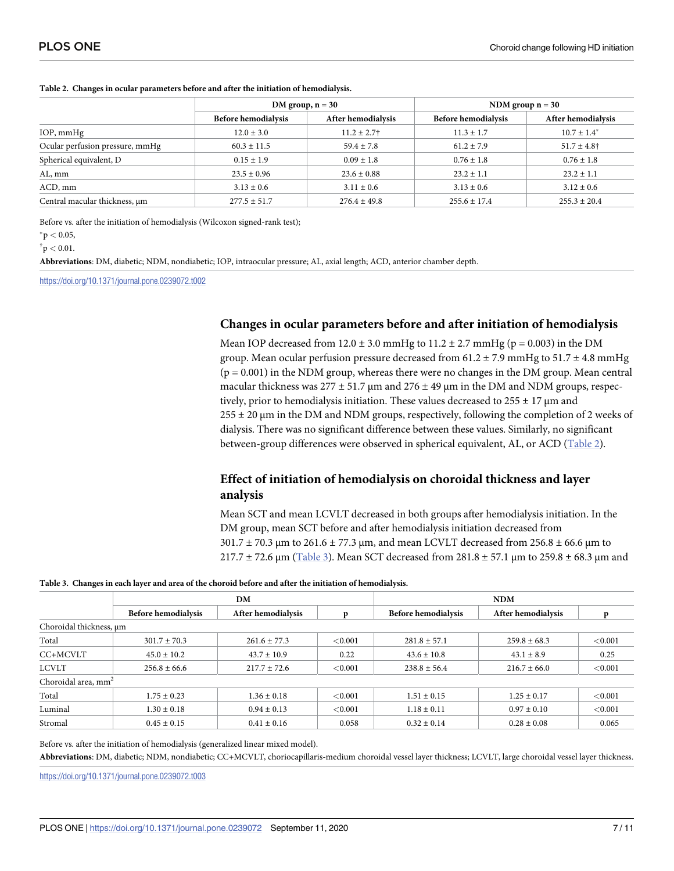|                                 |                            | DM group, $n = 30$ | NDM group $n = 30$         |                    |  |
|---------------------------------|----------------------------|--------------------|----------------------------|--------------------|--|
|                                 | <b>Before hemodialysis</b> | After hemodialysis | <b>Before hemodialysis</b> | After hemodialysis |  |
| IOP, mmHg                       | $12.0 \pm 3.0$             | $11.2 \pm 2.7$ †   | $11.3 \pm 1.7$             | $10.7 \pm 1.4^*$   |  |
| Ocular perfusion pressure, mmHg | $60.3 \pm 11.5$            | $59.4 \pm 7.8$     | $61.2 \pm 7.9$             | $51.7 \pm 4.8$ †   |  |
| Spherical equivalent, D         | $0.15 \pm 1.9$             | $0.09 \pm 1.8$     | $0.76 \pm 1.8$             | $0.76 \pm 1.8$     |  |
| AL, mm                          | $23.5 \pm 0.96$            | $23.6 \pm 0.88$    | $23.2 \pm 1.1$             | $23.2 \pm 1.1$     |  |
| ACD, mm                         | $3.13 \pm 0.6$             | $3.11 \pm 0.6$     | $3.13 \pm 0.6$             | $3.12 \pm 0.6$     |  |
| Central macular thickness, um   | $277.5 \pm 51.7$           | $276.4 \pm 49.8$   | $255.6 \pm 17.4$           | $255.3 \pm 20.4$   |  |

#### <span id="page-6-0"></span>**Table 2. Changes in ocular parameters before and after the initiation of hemodialysis.**

Before vs. after the initiation of hemodialysis (Wilcoxon signed-rank test);

 $*$ p  $< 0.05$ ,

 $\rm{^{\dagger} p} < 0.01.$ 

**Abbreviations**: DM, diabetic; NDM, nondiabetic; IOP, intraocular pressure; AL, axial length; ACD, anterior chamber depth.

<https://doi.org/10.1371/journal.pone.0239072.t002>

#### **Changes in ocular parameters before and after initiation of hemodialysis**

Mean IOP decreased from  $12.0 \pm 3.0$  mmHg to  $11.2 \pm 2.7$  mmHg (p = 0.003) in the DM group. Mean ocular perfusion pressure decreased from  $61.2 \pm 7.9$  mmHg to  $51.7 \pm 4.8$  mmHg  $(p = 0.001)$  in the NDM group, whereas there were no changes in the DM group. Mean central macular thickness was  $277 \pm 51.7$  µm and  $276 \pm 49$  µm in the DM and NDM groups, respectively, prior to hemodialysis initiation. These values decreased to  $255 \pm 17$  µm and 255 ± 20 μm in the DM and NDM groups, respectively, following the completion of 2 weeks of dialysis. There was no significant difference between these values. Similarly, no significant between-group differences were observed in spherical equivalent, AL, or ACD (Table 2).

# **Effect of initiation of hemodialysis on choroidal thickness and layer analysis**

Mean SCT and mean LCVLT decreased in both groups after hemodialysis initiation. In the DM group, mean SCT before and after hemodialysis initiation decreased from 301.7 ± 70.3 μm to 261.6 ± 77.3 μm, and mean LCVLT decreased from 256.8 ± 66.6 μm to  $217.7 \pm 72.6$  μm (Table 3). Mean SCT decreased from  $281.8 \pm 57.1$  μm to  $259.8 \pm 68.3$  μm and

#### Table 3. Changes in each layer and area of the choroid before and after the initiation of hemodialysis.

|                                 | DM                         |                    |         | <b>NDM</b>                 |                    |         |  |
|---------------------------------|----------------------------|--------------------|---------|----------------------------|--------------------|---------|--|
|                                 | <b>Before hemodialysis</b> | After hemodialysis |         | <b>Before hemodialysis</b> | After hemodialysis |         |  |
| Choroidal thickness, µm         |                            |                    |         |                            |                    |         |  |
| Total                           | $301.7 \pm 70.3$           | $261.6 \pm 77.3$   | < 0.001 | $281.8 + 57.1$             | $259.8 + 68.3$     | < 0.001 |  |
| CC+MCVLT                        | $45.0 \pm 10.2$            | $43.7 \pm 10.9$    | 0.22    | $43.6 \pm 10.8$            | $43.1 \pm 8.9$     | 0.25    |  |
| <b>LCVLT</b>                    | $256.8 \pm 66.6$           | $217.7 \pm 72.6$   | < 0.001 | $238.8 \pm 56.4$           | $216.7 \pm 66.0$   | < 0.001 |  |
| Choroidal area, mm <sup>2</sup> |                            |                    |         |                            |                    |         |  |
| Total                           | $1.75 \pm 0.23$            | $1.36 \pm 0.18$    | < 0.001 | $1.51 \pm 0.15$            | $1.25 \pm 0.17$    | < 0.001 |  |
| Luminal                         | $1.30 \pm 0.18$            | $0.94 \pm 0.13$    | < 0.001 | $1.18 \pm 0.11$            | $0.97 \pm 0.10$    | < 0.001 |  |
| Stromal                         | $0.45 \pm 0.15$            | $0.41 \pm 0.16$    | 0.058   | $0.32 \pm 0.14$            | $0.28 \pm 0.08$    | 0.065   |  |

Before vs. after the initiation of hemodialysis (generalized linear mixed model).

**Abbreviations**: DM, diabetic; NDM, nondiabetic; CC+MCVLT, choriocapillaris-medium choroidal vessel layer thickness; LCVLT, large choroidal vessel layer thickness.

<https://doi.org/10.1371/journal.pone.0239072.t003>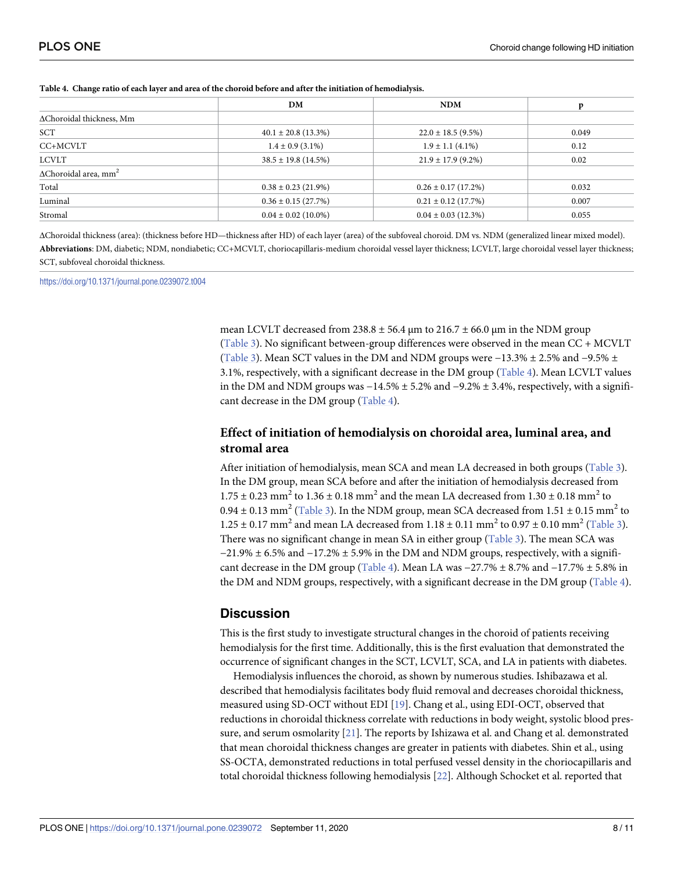| 0.049 |
|-------|
| 0.12  |
| 0.02  |
|       |
| 0.032 |
| 0.007 |
| 0.055 |
|       |

<span id="page-7-0"></span>

|  |  | Table 4. Change ratio of each layer and area of the choroid before and after the initiation of hemodialysis. |  |  |
|--|--|--------------------------------------------------------------------------------------------------------------|--|--|
|  |  |                                                                                                              |  |  |

ΔChoroidal thickness (area): (thickness before HD—thickness after HD) of each layer (area) of the subfoveal choroid. DM vs. NDM (generalized linear mixed model). **Abbreviations**: DM, diabetic; NDM, nondiabetic; CC+MCVLT, choriocapillaris-medium choroidal vessel layer thickness; LCVLT, large choroidal vessel layer thickness; SCT, subfoveal choroidal thickness.

<https://doi.org/10.1371/journal.pone.0239072.t004>

mean LCVLT decreased from 238.8  $\pm$  56.4  $\mu$ m to 216.7  $\pm$  66.0  $\mu$ m in the NDM group [\(Table](#page-6-0) 3). No significant between-group differences were observed in the mean CC + MCVLT [\(Table](#page-6-0) 3). Mean SCT values in the DM and NDM groups were  $-13.3\% \pm 2.5\%$  and  $-9.5\% \pm 2.5\%$ 3.1%, respectively, with a significant decrease in the DM group (Table 4). Mean LCVLT values in the DM and NDM groups was −14.5% ± 5.2% and −9.2% ± 3.4%, respectively, with a significant decrease in the DM group (Table 4).

# **Effect of initiation of hemodialysis on choroidal area, luminal area, and stromal area**

After initiation of hemodialysis, mean SCA and mean LA decreased in both groups [\(Table](#page-6-0) 3). In the DM group, mean SCA before and after the initiation of hemodialysis decreased from  $1.75 \pm 0.23$  mm<sup>2</sup> to  $1.36 \pm 0.18$  mm<sup>2</sup> and the mean LA decreased from  $1.30 \pm 0.18$  mm<sup>2</sup> to  $0.94 \pm 0.13$  mm<sup>2</sup> ([Table](#page-6-0) 3). In the NDM group, mean SCA decreased from  $1.51 \pm 0.15$  mm<sup>2</sup> to  $1.25 \pm 0.17$  mm<sup>2</sup> and mean LA decreased from  $1.18 \pm 0.11$  mm<sup>2</sup> to  $0.97 \pm 0.10$  mm<sup>2</sup> ([Table](#page-6-0) 3). There was no significant change in mean SA in either group ([Table](#page-6-0) 3). The mean SCA was  $-21.9\% \pm 6.5\%$  and  $-17.2\% \pm 5.9\%$  in the DM and NDM groups, respectively, with a significant decrease in the DM group (Table 4). Mean LA was  $-27.7\% \pm 8.7\%$  and  $-17.7\% \pm 5.8\%$  in the DM and NDM groups, respectively, with a significant decrease in the DM group (Table 4).

# **Discussion**

This is the first study to investigate structural changes in the choroid of patients receiving hemodialysis for the first time. Additionally, this is the first evaluation that demonstrated the occurrence of significant changes in the SCT, LCVLT, SCA, and LA in patients with diabetes.

Hemodialysis influences the choroid, as shown by numerous studies. Ishibazawa et al. described that hemodialysis facilitates body fluid removal and decreases choroidal thickness, measured using SD-OCT without EDI [\[19\]](#page-10-0). Chang et al., using EDI-OCT, observed that reductions in choroidal thickness correlate with reductions in body weight, systolic blood pressure, and serum osmolarity [\[21\]](#page-10-0). The reports by Ishizawa et al. and Chang et al. demonstrated that mean choroidal thickness changes are greater in patients with diabetes. Shin et al., using SS-OCTA, demonstrated reductions in total perfused vessel density in the choriocapillaris and total choroidal thickness following hemodialysis [[22](#page-10-0)]. Although Schocket et al. reported that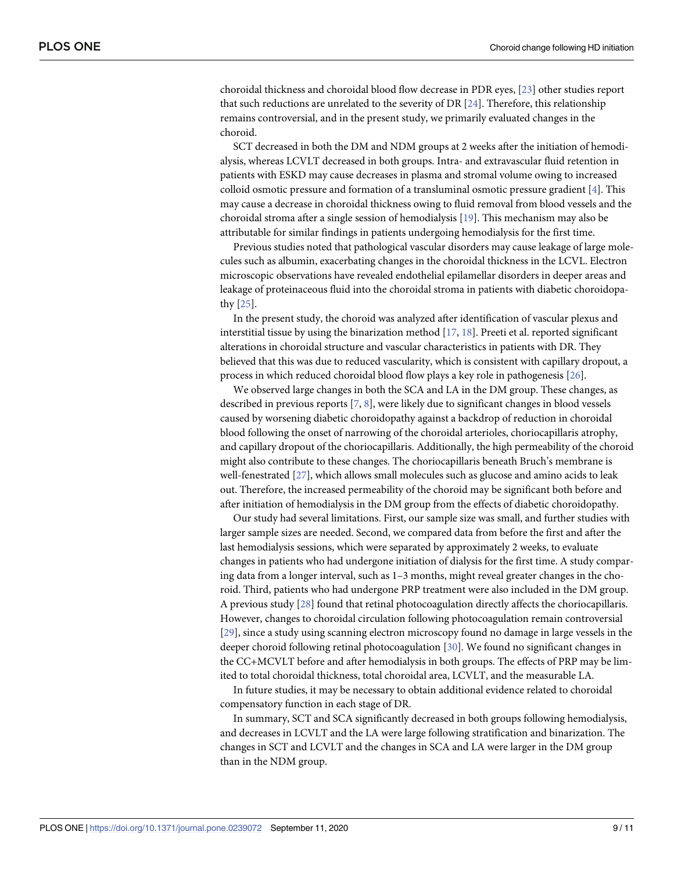<span id="page-8-0"></span>choroidal thickness and choroidal blood flow decrease in PDR eyes, [\[23\]](#page-10-0) other studies report that such reductions are unrelated to the severity of DR [[24](#page-10-0)]. Therefore, this relationship remains controversial, and in the present study, we primarily evaluated changes in the choroid.

SCT decreased in both the DM and NDM groups at 2 weeks after the initiation of hemodialysis, whereas LCVLT decreased in both groups. Intra- and extravascular fluid retention in patients with ESKD may cause decreases in plasma and stromal volume owing to increased colloid osmotic pressure and formation of a transluminal osmotic pressure gradient [[4\]](#page-9-0). This may cause a decrease in choroidal thickness owing to fluid removal from blood vessels and the choroidal stroma after a single session of hemodialysis [[19](#page-10-0)]. This mechanism may also be attributable for similar findings in patients undergoing hemodialysis for the first time.

Previous studies noted that pathological vascular disorders may cause leakage of large molecules such as albumin, exacerbating changes in the choroidal thickness in the LCVL. Electron microscopic observations have revealed endothelial epilamellar disorders in deeper areas and leakage of proteinaceous fluid into the choroidal stroma in patients with diabetic choroidopathy [\[25\]](#page-10-0).

In the present study, the choroid was analyzed after identification of vascular plexus and interstitial tissue by using the binarization method  $[17, 18]$  $[17, 18]$  $[17, 18]$ . Preeti et al. reported significant alterations in choroidal structure and vascular characteristics in patients with DR. They believed that this was due to reduced vascularity, which is consistent with capillary dropout, a process in which reduced choroidal blood flow plays a key role in pathogenesis [[26](#page-10-0)].

We observed large changes in both the SCA and LA in the DM group. These changes, as described in previous reports [\[7](#page-9-0), [8](#page-10-0)], were likely due to significant changes in blood vessels caused by worsening diabetic choroidopathy against a backdrop of reduction in choroidal blood following the onset of narrowing of the choroidal arterioles, choriocapillaris atrophy, and capillary dropout of the choriocapillaris. Additionally, the high permeability of the choroid might also contribute to these changes. The choriocapillaris beneath Bruch's membrane is well-fenestrated [\[27\]](#page-10-0), which allows small molecules such as glucose and amino acids to leak out. Therefore, the increased permeability of the choroid may be significant both before and after initiation of hemodialysis in the DM group from the effects of diabetic choroidopathy.

Our study had several limitations. First, our sample size was small, and further studies with larger sample sizes are needed. Second, we compared data from before the first and after the last hemodialysis sessions, which were separated by approximately 2 weeks, to evaluate changes in patients who had undergone initiation of dialysis for the first time. A study comparing data from a longer interval, such as 1–3 months, might reveal greater changes in the choroid. Third, patients who had undergone PRP treatment were also included in the DM group. A previous study [[28](#page-10-0)] found that retinal photocoagulation directly affects the choriocapillaris. However, changes to choroidal circulation following photocoagulation remain controversial [\[29\]](#page-10-0), since a study using scanning electron microscopy found no damage in large vessels in the deeper choroid following retinal photocoagulation [\[30\]](#page-10-0). We found no significant changes in the CC+MCVLT before and after hemodialysis in both groups. The effects of PRP may be limited to total choroidal thickness, total choroidal area, LCVLT, and the measurable LA.

In future studies, it may be necessary to obtain additional evidence related to choroidal compensatory function in each stage of DR.

In summary, SCT and SCA significantly decreased in both groups following hemodialysis, and decreases in LCVLT and the LA were large following stratification and binarization. The changes in SCT and LCVLT and the changes in SCA and LA were larger in the DM group than in the NDM group.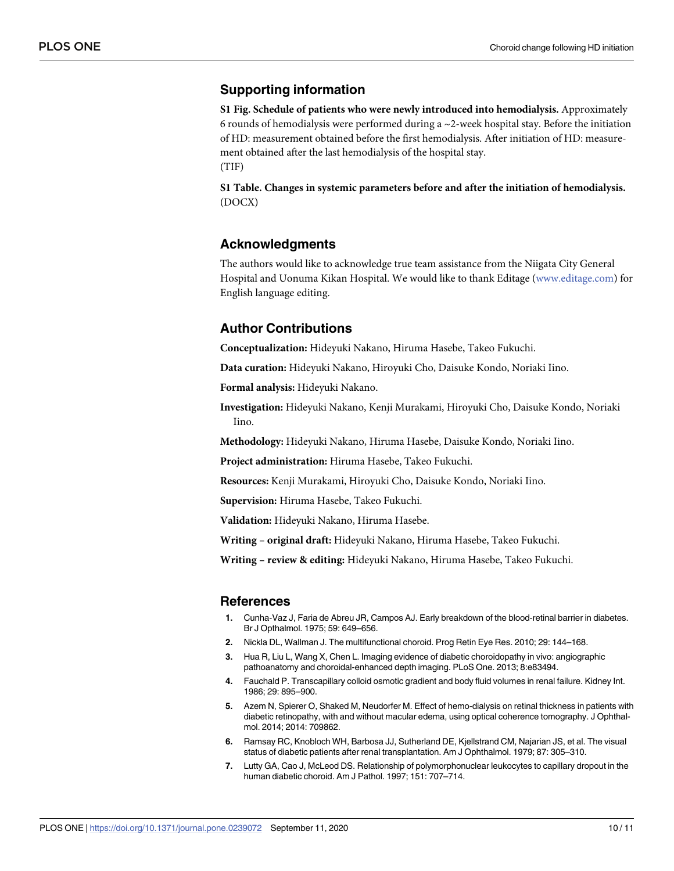# <span id="page-9-0"></span>**Supporting information**

**S1 [Fig](http://www.plosone.org/article/fetchSingleRepresentation.action?uri=info:doi/10.1371/journal.pone.0239072.s001). Schedule of patients who were newly introduced into hemodialysis.** Approximately 6 rounds of hemodialysis were performed during a  $\sim$  2-week hospital stay. Before the initiation of HD: measurement obtained before the first hemodialysis. After initiation of HD: measurement obtained after the last hemodialysis of the hospital stay. (TIF)

**S1 [Table.](http://www.plosone.org/article/fetchSingleRepresentation.action?uri=info:doi/10.1371/journal.pone.0239072.s002) Changes in systemic parameters before and after the initiation of hemodialysis.** (DOCX)

# **Acknowledgments**

The authors would like to acknowledge true team assistance from the Niigata City General Hospital and Uonuma Kikan Hospital. We would like to thank Editage [\(www.editage.com\)](http://www.editage.com) for English language editing.

# **Author Contributions**

**Conceptualization:** Hideyuki Nakano, Hiruma Hasebe, Takeo Fukuchi.

**Data curation:** Hideyuki Nakano, Hiroyuki Cho, Daisuke Kondo, Noriaki Iino.

**Formal analysis:** Hideyuki Nakano.

**Investigation:** Hideyuki Nakano, Kenji Murakami, Hiroyuki Cho, Daisuke Kondo, Noriaki Iino.

**Methodology:** Hideyuki Nakano, Hiruma Hasebe, Daisuke Kondo, Noriaki Iino.

**Project administration:** Hiruma Hasebe, Takeo Fukuchi.

**Resources:** Kenji Murakami, Hiroyuki Cho, Daisuke Kondo, Noriaki Iino.

**Supervision:** Hiruma Hasebe, Takeo Fukuchi.

**Validation:** Hideyuki Nakano, Hiruma Hasebe.

**Writing – original draft:** Hideyuki Nakano, Hiruma Hasebe, Takeo Fukuchi.

**Writing – review & editing:** Hideyuki Nakano, Hiruma Hasebe, Takeo Fukuchi.

#### **References**

- **[1](#page-0-0).** Cunha-Vaz J, Faria de Abreu JR, Campos AJ. Early breakdown of the blood-retinal barrier in diabetes. Br J Opthalmol. 1975; 59: 649–656.
- **[2](#page-0-0).** Nickla DL, Wallman J. The multifunctional choroid. Prog Retin Eye Res. 2010; 29: 144–168.
- **[3](#page-1-0).** Hua R, Liu L, Wang X, Chen L. Imaging evidence of diabetic choroidopathy in vivo: angiographic pathoanatomy and choroidal-enhanced depth imaging. PLoS One. 2013; 8:e83494.
- **[4](#page-1-0).** Fauchald P. Transcapillary colloid osmotic gradient and body fluid volumes in renal failure. Kidney Int. 1986; 29: 895–900.
- **[5](#page-1-0).** Azem N, Spierer O, Shaked M, Neudorfer M. Effect of hemo-dialysis on retinal thickness in patients with diabetic retinopathy, with and without macular edema, using optical coherence tomography. J Ophthalmol. 2014; 2014: 709862.
- **[6](#page-1-0).** Ramsay RC, Knobloch WH, Barbosa JJ, Sutherland DE, Kjellstrand CM, Najarian JS, et al. The visual status of diabetic patients after renal transplantation. Am J Ophthalmol. 1979; 87: 305–310.
- **[7](#page-1-0).** Lutty GA, Cao J, McLeod DS. Relationship of polymorphonuclear leukocytes to capillary dropout in the human diabetic choroid. Am J Pathol. 1997; 151: 707–714.